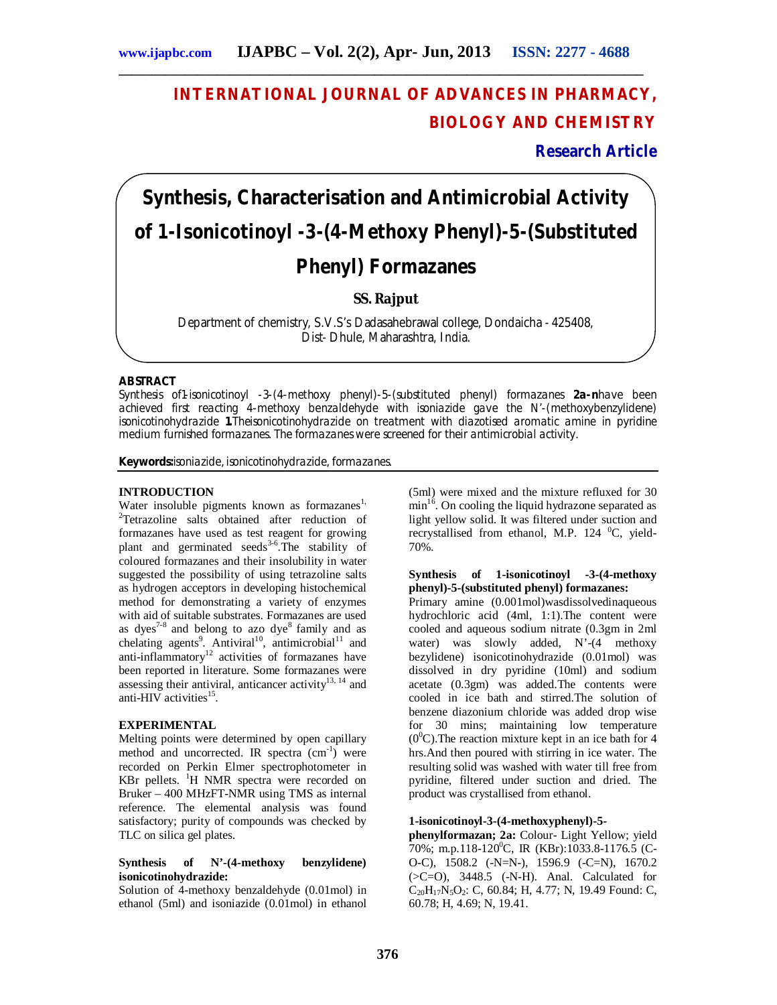# **INTERNATIONAL JOURNAL OF ADVANCES IN PHARMACY, BIOLOGY AND CHEMISTRY**

**Research Article**

# **Synthesis, Characterisation and Antimicrobial Activity of 1-Isonicotinoyl -3-(4-Methoxy Phenyl)-5-(Substituted Phenyl) Formazanes**

# **SS. Rajput**

Department of chemistry, S.V.S's Dadasahebrawal college, Dondaicha - 425408, Dist- Dhule, Maharashtra, India.

# **ABSTRACT**

Synthesis of1-isonicotinoyl -3-(4-methoxy phenyl)-5-(substituted phenyl) formazanes **2a-n**have been achieved first reacting 4-methoxy benzaldehyde with isoniazide gave the N'-(methoxybenzylidene) isonicotinohydrazide **1.**Theisonicotinohydrazide on treatment with diazotised aromatic amine in pyridine medium furnished formazanes. The formazanes were screened for their antimicrobial activity.

**Keywords:**isoniazide, isonicotinohydrazide, formazanes.

# **INTRODUCTION**

Water insoluble pigments known as formazanes<sup>1,</sup> <sup>2</sup>Tetrazoline salts obtained after reduction of formazanes have used as test reagent for growing plant and germinated seeds<sup>3-6</sup>. The stability of coloured formazanes and their insolubility in water suggested the possibility of using tetrazoline salts as hydrogen acceptors in developing histochemical method for demonstrating a variety of enzymes with aid of suitable substrates. Formazanes are used as dyes<sup>7-8</sup> and belong to azo dye<sup>8</sup> family and as chelating agents<sup>9</sup>. Antiviral<sup>10</sup>, antimicrobial<sup>11</sup> and anti-inflammatory<sup>12</sup> activities of formazanes have been reported in literature. Some formazanes were assessing their antiviral, anticancer activity<sup>13, 14</sup> and anti-HIV activities<sup>15</sup>.

# **EXPERIMENTAL**

Melting points were determined by open capillary method and uncorrected. IR spectra (cm<sup>-1</sup>) were recorded on Perkin Elmer spectrophotometer in KBr pellets.  $H$  NMR spectra were recorded on Bruker – 400 MHzFT-NMR using TMS as internal reference. The elemental analysis was found satisfactory; purity of compounds was checked by TLC on silica gel plates.

# **Synthesis of N'-(4-methoxy benzylidene) isonicotinohydrazide:**

Solution of 4-methoxy benzaldehyde (0.01mol) in ethanol (5ml) and isoniazide (0.01mol) in ethanol

(5ml) were mixed and the mixture refluxed for 30  $\min^{16}$ . On cooling the liquid hydrazone separated as light yellow solid. It was filtered under suction and recrystallised from ethanol, M.P. 124  $^0C$ , yield-70%.

#### **Synthesis of 1-isonicotinoyl -3-(4-methoxy phenyl)-5-(substituted phenyl) formazanes:**

Primary amine (0.001mol)wasdissolvedinaqueous hydrochloric acid (4ml, 1:1).The content were cooled and aqueous sodium nitrate (0.3gm in 2ml water) was slowly added,  $N'-(4)$  methoxy bezylidene) isonicotinohydrazide (0.01mol) was dissolved in dry pyridine (10ml) and sodium acetate (0.3gm) was added.The contents were cooled in ice bath and stirred.The solution of benzene diazonium chloride was added drop wise for 30 mins; maintaining low temperature  $(0^0C)$ . The reaction mixture kept in an ice bath for 4 hrs.And then poured with stirring in ice water. The resulting solid was washed with water till free from pyridine, filtered under suction and dried. The product was crystallised from ethanol.

# **1-isonicotinoyl-3-(4-methoxyphenyl)-5-**

**phenylformazan; 2a:** Colour- Light Yellow; yield 70%; m.p.118-120<sup>0</sup>C, IR (KBr):1033.8-1176.5 (C-O-C), 1508.2 (-N=N-), 1596.9 (-C=N), 1670.2  $(SC=O)$ , 3448.5 (-N-H). Anal. Calculated for  $C_{20}H_{17}N_5O_2$ : C, 60.84; H, 4.77; N, 19.49 Found: C, 60.78; H, 4.69; N, 19.41.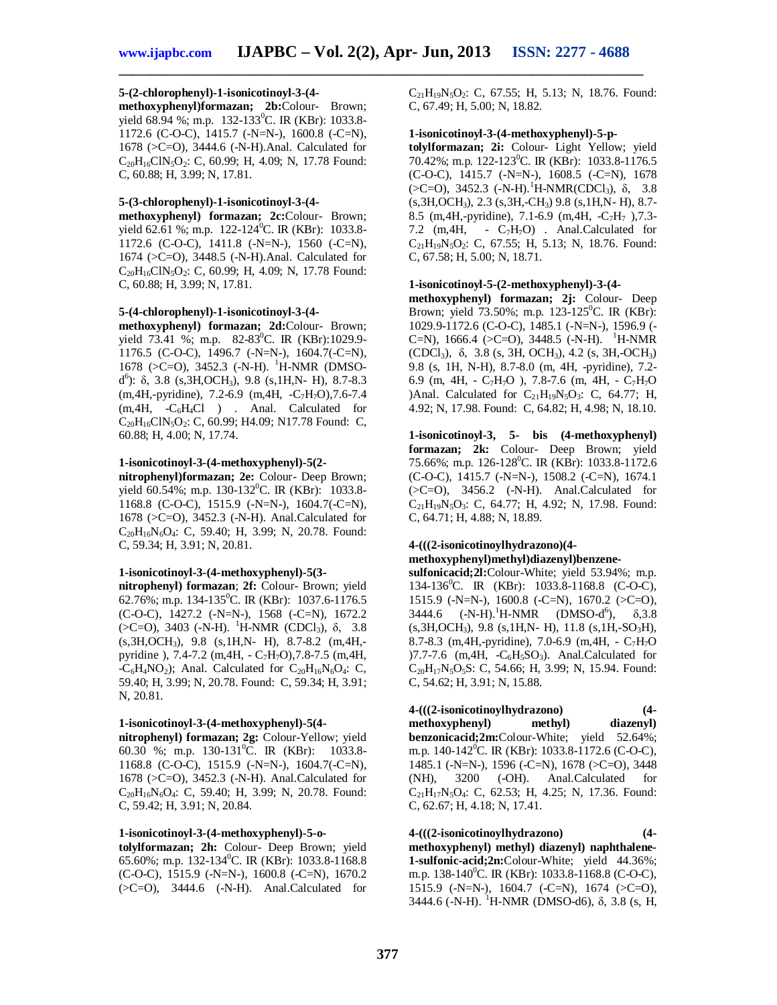# **5-(2-chlorophenyl)-1-isonicotinoyl-3-(4-**

**methoxyphenyl)formazan; 2b:**Colour- Brown; yield 68.94 %; m.p. 132-133<sup>0</sup>C. IR (KBr): 1033.8-1172.6 (C-O-C), 1415.7 (-N=N-), 1600.8 (-C=N), 1678 (>C=O), 3444.6 (-N-H).Anal. Calculated for  $C_{20}H_{16}CIN_5O_2$ : C, 60.99; H, 4.09; N, 17.78 Found: C, 60.88; H, 3.99; N, 17.81.

## **5-(3-chlorophenyl)-1-isonicotinoyl-3-(4-**

**methoxyphenyl) formazan; 2c:**Colour- Brown; yield 62.61 %; m.p. 122-124<sup>0</sup>C. IR (KBr): 1033.8-1172.6 (C-O-C), 1411.8 (-N=N-), 1560 (-C=N), 1674 (>C=O), 3448.5 (-N-H).Anal. Calculated for  $C_{20}H_{16}CIN_5O_2$ : C, 60.99; H, 4.09; N, 17.78 Found: C, 60.88; H, 3.99; N, 17.81.

# **5-(4-chlorophenyl)-1-isonicotinoyl-3-(4-**

**methoxyphenyl) formazan; 2d:**Colour- Brown; yield 73.41 %; m.p. 82-83<sup>0</sup>C. IR (KBr):1029.9-1176.5 (C-O-C), 1496.7 (-N=N-), 1604.7(-C=N), 1678 ( $>$ C=O), 3452.3 (-N-H). <sup>1</sup>H-NMR (DMSOd 6 ): δ, 3.8 (s,3H,OCH3), 9.8 (s,1H,N- H), 8.7-8.3 (m,4H,-pyridine), 7.2-6.9 (m,4H, -C7H7O),7.6-7.4  $(m,4H, -C_6H_4Cl)$  . Anal. Calculated for  $C_{20}H_{16}CIN_5O_2$ : C, 60.99; H4.09; N17.78 Found: C, 60.88; H, 4.00; N, 17.74.

#### **1-isonicotinoyl-3-(4-methoxyphenyl)-5(2-**

**nitrophenyl)formazan; 2e:** Colour- Deep Brown; yield 60.54%; m.p. 130-132<sup>0</sup>C. IR (KBr): 1033.8-1168.8 (C-O-C), 1515.9 (-N=N-), 1604.7(-C=N), 1678 (>C=O), 3452.3 (-N-H). Anal.Calculated for  $C_{20}H_{16}N_6O_4$ : C, 59.40; H, 3.99; N, 20.78. Found: C, 59.34; H, 3.91; N, 20.81.

#### **1-isonicotinoyl-3-(4-methoxyphenyl)-5(3-**

**nitrophenyl) formazan**; **2f:** Colour- Brown; yield 62.76%; m.p. 134-135<sup>0</sup>C. IR (KBr): 1037.6-1176.5 (C-O-C), 1427.2 (-N=N-), 1568 (-C=N), 1672.2  $( >C=0)$ , 3403 (-N-H). <sup>1</sup>H-NMR (CDCl<sub>3</sub>), δ, 3.8 (s,3H,OCH3), 9.8 (s,1H,N- H), 8.7-8.2 (m,4H, pyridine ), 7.4-7.2 (m, 4H,  $-C_7H_7O$ ), 7.8-7.5 (m, 4H,  $-C_6H_4NO_2$ ); Anal. Calculated for  $C_{20}H_{16}N_6O_4$ : C, 59.40; H, 3.99; N, 20.78. Found: C, 59.34; H, 3.91; N, 20.81.

#### **1-isonicotinoyl-3-(4-methoxyphenyl)-5(4-**

**nitrophenyl) formazan; 2g:** Colour-Yellow; yield 60.30 %; m.p.  $130-131^{\circ}$ C. IR (KBr): 1033.8-1168.8 (C-O-C), 1515.9 (-N=N-), 1604.7(-C=N), 1678 (>C=O), 3452.3 (-N-H). Anal.Calculated for  $C_{20}H_{16}N_6O_4$ : C, 59.40; H, 3.99; N, 20.78. Found: C, 59.42; H, 3.91; N, 20.84.

## **1-isonicotinoyl-3-(4-methoxyphenyl)-5-o-**

**tolylformazan; 2h:** Colour- Deep Brown; yield 65.60%; m.p. 132-134<sup>0</sup>C. IR (KBr): 1033.8-1168.8 (C-O-C), 1515.9 (-N=N-), 1600.8 (-C=N), 1670.2  $(SC=O)$ , 3444.6  $(-N-H)$ . Anal.Calculated for

 $C_{21}H_{19}N_5O_2$ : C, 67.55; H, 5.13; N, 18.76. Found: C, 67.49; H, 5.00; N, 18.82.

#### **1-isonicotinoyl-3-(4-methoxyphenyl)-5-p-**

**tolylformazan; 2i:** Colour- Light Yellow; yield 70.42%; m.p. 122-123<sup>0</sup>C. IR (KBr): 1033.8-1176.5  $(C-O-C)$ , 1415.7 (-N=N-), 1608.5 (-C=N), 1678  $(\geq C=O)$ , 3452.3 (-N-H).<sup>1</sup>H-NMR(CDCl<sub>3</sub>),  $\delta$ , 3.8 (s,3H,OCH3), 2.3 (s,3H,-CH3) 9.8 (s,1H,N- H), 8.7- 8.5 (m, 4H,-pyridine), 7.1-6.9 (m, 4H,  $-C_7H_7$ ), 7.3-7.2 (m, 4H, -  $C_7H_7O$ ) . Anal. Calculated for  $C_{21}H_{19}N_5O_2$ : C, 67.55; H, 5.13; N, 18.76. Found: C, 67.58; H, 5.00; N, 18.71.

#### **1-isonicotinoyl-5-(2-methoxyphenyl)-3-(4-**

**methoxyphenyl) formazan; 2j:** Colour- Deep Brown; yield 73.50%; m.p. 123-125<sup>0</sup>C. IR (KBr): 1029.9-1172.6 (C-O-C), 1485.1 (-N=N-), 1596.9 (- C=N), 1666.4 ( $>C=O$ ), 3448.5 (-N-H). <sup>1</sup>H-NMR (CDCl<sub>3</sub>),  $\delta$ , 3.8 (s, 3H, OCH<sub>3</sub>), 4.2 (s, 3H, -OCH<sub>3</sub>) 9.8 (s, 1H, N-H), 8.7-8.0 (m, 4H, -pyridine), 7.2- 6.9 (m, 4H, -  $C_7H_7O$ ), 7.8-7.6 (m, 4H, -  $C_7H_7O$ )Anal. Calculated for  $C_{21}H_{19}N_5O_3$ : C, 64.77; H, 4.92; N, 17.98. Found: C, 64.82; H, 4.98; N, 18.10.

**1-isonicotinoyl-3, 5- bis (4-methoxyphenyl) formazan; 2k:** Colour- Deep Brown; yield 75.66%; m.p. 126-128<sup>0</sup>C. IR (KBr): 1033.8-1172.6 (C-O-C), 1415.7 (-N=N-), 1508.2 (-C=N), 1674.1 (>C=O), 3456.2 (-N-H). Anal.Calculated for  $C_{21}H_{19}N_5O_3$ : C, 64.77; H, 4.92; N, 17.98. Found: C, 64.71; H, 4.88; N, 18.89.

# **4-(((2-isonicotinoylhydrazono)(4 methoxyphenyl)methyl)diazenyl)benzene-**

**sulfonicacid;2l:**Colour-White; yield 53.94%; m.p. 134-136<sup>0</sup>C. IR (KBr): 1033.8-1168.8 (C-O-C), 1515.9 (-N=N-), 1600.8 (-C=N), 1670.2 (>C=O),  $3444.6$  (-N-H).<sup>1</sup>H-NMR (DMSO-d<sup>6</sup>),  $\delta$ ,3.8  $(s, 3H, OCH_3)$ , 9.8  $(s, 1H, N-H)$ , 11.8  $(s, 1H, -SO_3H)$ , 8.7-8.3 (m,4H,-pyridine), 7.0-6.9 (m,4H, - C7H7O  $(7.7-7.6$  (m, 4H,  $-C_6H_5SO_3$ ). Anal.Calculated for  $C_{20}H_{17}N_5O_5S$ : C, 54.66; H, 3.99; N, 15.94. Found: C, 54.62; H, 3.91; N, 15.88.

**4-(((2-isonicotinoylhydrazono) (4 methoxyphenyl) methyl) diazenyl) benzonicacid;2m:**Colour-White; yield 52.64%; m.p. 140-142<sup>0</sup>C. IR (KBr): 1033.8-1172.6 (C-O-C), 1485.1 (-N=N-), 1596 (-C=N), 1678 (>C=O), 3448 (NH), 3200 (-OH). Anal.Calculated for  $C_{21}H_{17}N_5O_4$ : C, 62.53; H, 4.25; N, 17.36. Found: C, 62.67; H, 4.18; N, 17.41.

**4-(((2-isonicotinoylhydrazono) (4 methoxyphenyl) methyl) diazenyl) naphthalene-1-sulfonic-acid;2n:**Colour-White; yield 44.36%; m.p. 138-140<sup>°</sup>C. IR (KBr): 1033.8-1168.8 (C-O-C), 1515.9 (-N=N-), 1604.7 (-C=N), 1674 (>C=O), 3444.6 (-N-H). <sup>1</sup>H-NMR (DMSO-d6),  $\delta$ , 3.8 (s, H,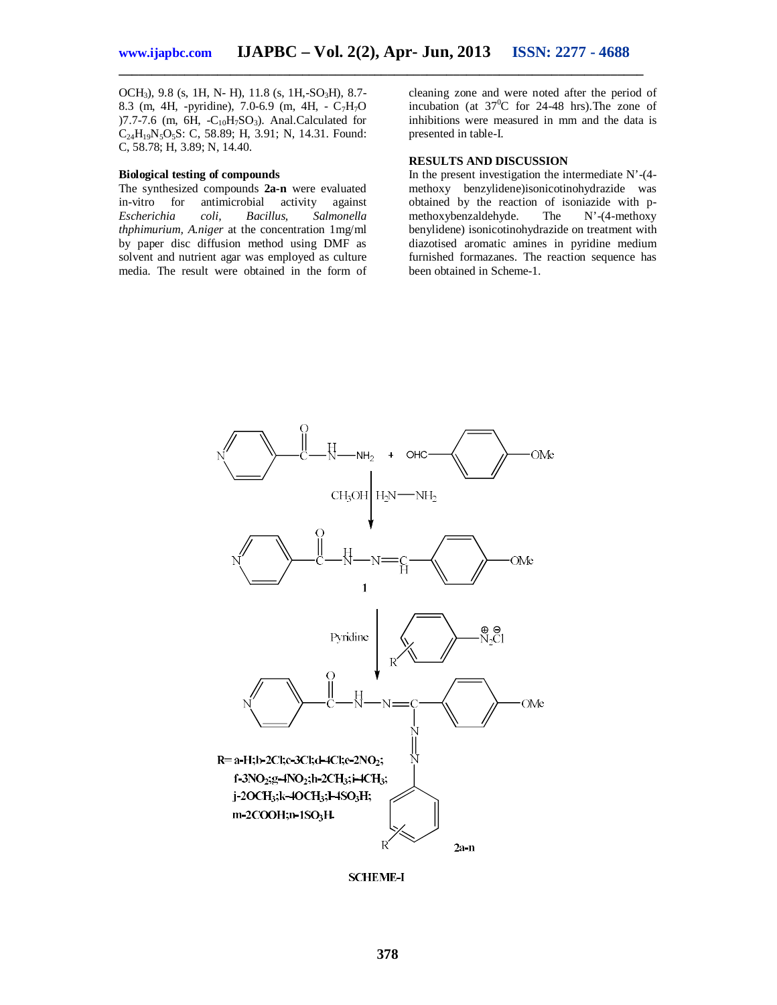OCH<sub>3</sub>), 9.8 (s, 1H, N- H), 11.8 (s, 1H,-SO<sub>3</sub>H), 8.7-8.3 (m, 4H, -pyridine), 7.0-6.9 (m, 4H, -  $C_7H_7O$ )7.7-7.6 (m,  $6H$ , -C<sub>10</sub>H<sub>7</sub>SO<sub>3</sub>). Anal.Calculated for  $C_{24}H_{19}N_5O_5S$ : C, 58.89; H, 3.91; N, 14.31. Found: C, 58.78; H, 3.89; N, 14.40.

### **Biological testing of compounds**

The synthesized compounds 2a-n were evaluated<br>in-vitro for antimicrobial activity against in-vitro for antimicrobial activity<br>Escherichia coli, Bacillus, Sa *Escherichia coli, Bacillus, Salmonella thphimurium, A.niger* at the concentration 1mg/ml by paper disc diffusion method using DMF as solvent and nutrient agar was employed as culture media. The result were obtained in the form of

cleaning zone and were noted after the period of incubation (at  $37^0C$  for 24-48 hrs). The zone of inhibitions were measured in mm and the data is presented in table-I.

# **RESULTS AND DISCUSSION**

In the present investigation the intermediate N'-(4 methoxy benzylidene)isonicotinohydrazide was obtained by the reaction of isoniazide with p-<br>methoxybenzaldehyde. The N'-(4-methoxy methoxybenzaldehyde. benylidene) isonicotinohydrazide on treatment with diazotised aromatic amines in pyridine medium furnished formazanes. The reaction sequence has been obtained in Scheme-1.



**SCHEME-I**